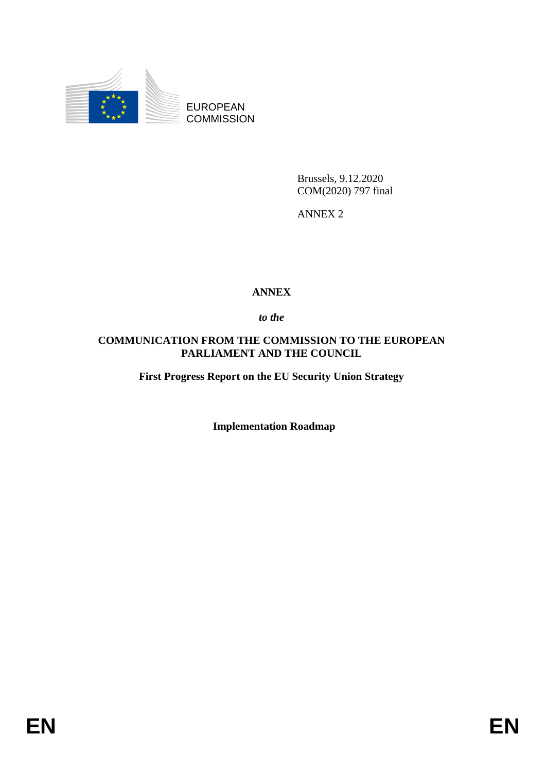

EUROPEAN **COMMISSION** 

> Brussels, 9.12.2020 COM(2020) 797 final

ANNEX 2

## **ANNEX**

*to the* 

## **COMMUNICATION FROM THE COMMISSION TO THE EUROPEAN PARLIAMENT AND THE COUNCIL**

**First Progress Report on the EU Security Union Strategy** 

 **Implementation Roadmap**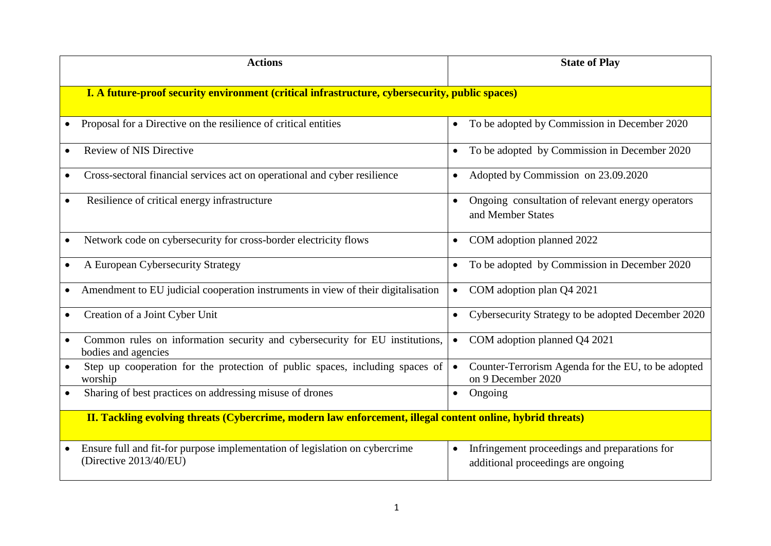| <b>Actions</b>                                                                                             | <b>State of Play</b>                                                                  |  |  |  |  |
|------------------------------------------------------------------------------------------------------------|---------------------------------------------------------------------------------------|--|--|--|--|
| I. A future-proof security environment (critical infrastructure, cybersecurity, public spaces)             |                                                                                       |  |  |  |  |
| Proposal for a Directive on the resilience of critical entities                                            | To be adopted by Commission in December 2020<br>$\bullet$                             |  |  |  |  |
| <b>Review of NIS Directive</b>                                                                             | To be adopted by Commission in December 2020<br>$\bullet$                             |  |  |  |  |
| Cross-sectoral financial services act on operational and cyber resilience                                  | Adopted by Commission on 23.09.2020<br>$\bullet$                                      |  |  |  |  |
| Resilience of critical energy infrastructure                                                               | Ongoing consultation of relevant energy operators<br>and Member States                |  |  |  |  |
| Network code on cybersecurity for cross-border electricity flows                                           | COM adoption planned 2022<br>$\bullet$                                                |  |  |  |  |
| A European Cybersecurity Strategy                                                                          | To be adopted by Commission in December 2020<br>$\bullet$                             |  |  |  |  |
| Amendment to EU judicial cooperation instruments in view of their digitalisation                           | COM adoption plan Q4 2021<br>$\bullet$                                                |  |  |  |  |
| Creation of a Joint Cyber Unit                                                                             | Cybersecurity Strategy to be adopted December 2020<br>$\bullet$                       |  |  |  |  |
| Common rules on information security and cybersecurity for EU institutions,<br>bodies and agencies         | COM adoption planned Q4 2021<br>$\bullet$                                             |  |  |  |  |
| Step up cooperation for the protection of public spaces, including spaces of<br>worship                    | Counter-Terrorism Agenda for the EU, to be adopted<br>$\bullet$<br>on 9 December 2020 |  |  |  |  |
| Sharing of best practices on addressing misuse of drones                                                   | Ongoing<br>$\bullet$                                                                  |  |  |  |  |
| II. Tackling evolving threats (Cybercrime, modern law enforcement, illegal content online, hybrid threats) |                                                                                       |  |  |  |  |
| Ensure full and fit-for purpose implementation of legislation on cybercrime<br>(Directive 2013/40/EU)      | Infringement proceedings and preparations for<br>additional proceedings are ongoing   |  |  |  |  |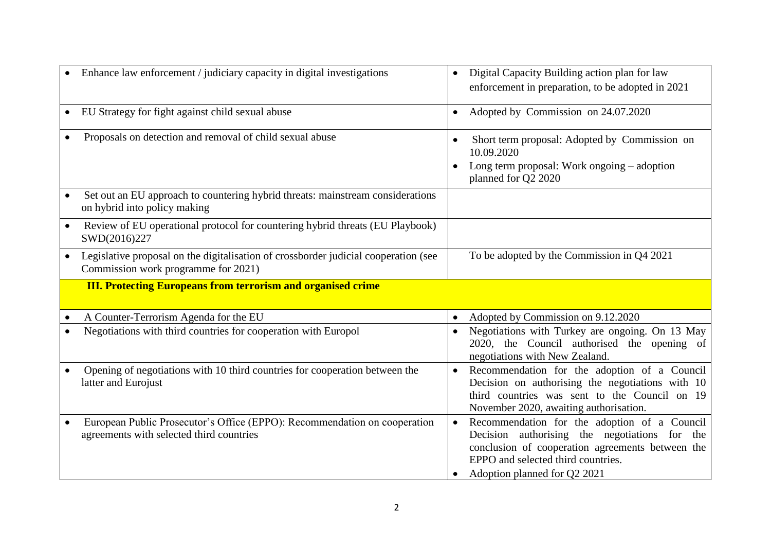|           | Enhance law enforcement / judiciary capacity in digital investigations                                                     | Digital Capacity Building action plan for law<br>$\bullet$<br>enforcement in preparation, to be adopted in 2021                                                                             |
|-----------|----------------------------------------------------------------------------------------------------------------------------|---------------------------------------------------------------------------------------------------------------------------------------------------------------------------------------------|
| $\bullet$ | EU Strategy for fight against child sexual abuse                                                                           | Adopted by Commission on 24.07.2020<br>$\bullet$                                                                                                                                            |
|           | Proposals on detection and removal of child sexual abuse                                                                   | Short term proposal: Adopted by Commission on<br>10.09.2020<br>Long term proposal: Work ongoing – adoption<br>planned for Q2 2020                                                           |
|           | Set out an EU approach to countering hybrid threats: mainstream considerations<br>on hybrid into policy making             |                                                                                                                                                                                             |
| $\bullet$ | Review of EU operational protocol for countering hybrid threats (EU Playbook)<br>SWD(2016)227                              |                                                                                                                                                                                             |
|           | Legislative proposal on the digitalisation of crossborder judicial cooperation (see<br>Commission work programme for 2021) | To be adopted by the Commission in $Q4 2021$                                                                                                                                                |
|           |                                                                                                                            |                                                                                                                                                                                             |
|           | <b>III. Protecting Europeans from terrorism and organised crime</b>                                                        |                                                                                                                                                                                             |
|           | A Counter-Terrorism Agenda for the EU                                                                                      | Adopted by Commission on 9.12.2020<br>$\bullet$                                                                                                                                             |
|           | Negotiations with third countries for cooperation with Europol                                                             | Negotiations with Turkey are ongoing. On 13 May<br>2020, the Council authorised the opening of<br>negotiations with New Zealand.                                                            |
|           | Opening of negotiations with 10 third countries for cooperation between the<br>latter and Eurojust                         | Recommendation for the adoption of a Council<br>Decision on authorising the negotiations with 10<br>third countries was sent to the Council on 19<br>November 2020, awaiting authorisation. |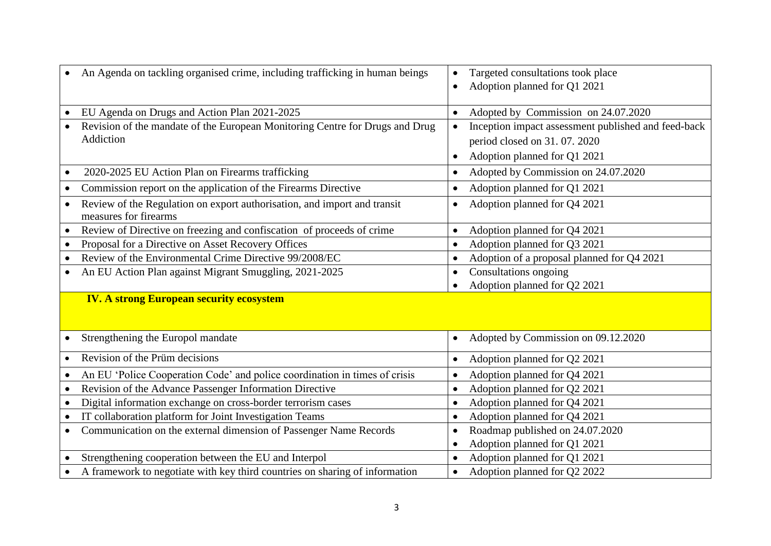|           | An Agenda on tackling organised crime, including trafficking in human beings                      | Targeted consultations took place<br>$\bullet$<br>Adoption planned for Q1 2021<br>$\bullet$ |
|-----------|---------------------------------------------------------------------------------------------------|---------------------------------------------------------------------------------------------|
|           | EU Agenda on Drugs and Action Plan 2021-2025                                                      | Adopted by Commission on 24.07.2020<br>$\bullet$                                            |
|           | Revision of the mandate of the European Monitoring Centre for Drugs and Drug                      | Inception impact assessment published and feed-back<br>$\bullet$                            |
|           | Addiction                                                                                         | period closed on 31.07.2020                                                                 |
|           |                                                                                                   | Adoption planned for Q1 2021<br>$\bullet$                                                   |
|           | 2020-2025 EU Action Plan on Firearms trafficking                                                  | Adopted by Commission on 24.07.2020<br>$\bullet$                                            |
|           | Commission report on the application of the Firearms Directive                                    | Adoption planned for Q1 2021<br>$\bullet$                                                   |
|           | Review of the Regulation on export authorisation, and import and transit<br>measures for firearms | Adoption planned for Q4 2021<br>$\bullet$                                                   |
|           | Review of Directive on freezing and confiscation of proceeds of crime                             | Adoption planned for Q4 2021<br>$\bullet$                                                   |
|           | Proposal for a Directive on Asset Recovery Offices                                                | Adoption planned for Q3 2021<br>$\bullet$                                                   |
|           | Review of the Environmental Crime Directive 99/2008/EC                                            | Adoption of a proposal planned for Q4 2021<br>$\bullet$                                     |
|           | An EU Action Plan against Migrant Smuggling, 2021-2025                                            | Consultations ongoing<br>$\bullet$                                                          |
|           |                                                                                                   | Adoption planned for Q2 2021<br>$\bullet$                                                   |
|           | <b>IV. A strong European security ecosystem</b>                                                   |                                                                                             |
|           | Strengthening the Europol mandate                                                                 | Adopted by Commission on 09.12.2020<br>$\bullet$                                            |
|           | Revision of the Prüm decisions                                                                    | Adoption planned for Q2 2021<br>$\bullet$                                                   |
|           | An EU 'Police Cooperation Code' and police coordination in times of crisis                        | Adoption planned for Q4 2021<br>$\bullet$                                                   |
|           | Revision of the Advance Passenger Information Directive                                           | Adoption planned for Q2 2021<br>$\bullet$                                                   |
|           | Digital information exchange on cross-border terrorism cases                                      | Adoption planned for Q4 2021<br>$\bullet$                                                   |
| $\bullet$ | IT collaboration platform for Joint Investigation Teams                                           | Adoption planned for Q4 2021<br>$\bullet$                                                   |
| $\bullet$ | Communication on the external dimension of Passenger Name Records                                 | Roadmap published on 24.07.2020<br>$\bullet$                                                |
|           |                                                                                                   | Adoption planned for Q1 2021<br>$\bullet$                                                   |
|           | Strengthening cooperation between the EU and Interpol                                             | Adoption planned for Q1 2021                                                                |
|           | A framework to negotiate with key third countries on sharing of information                       | Adoption planned for Q2 2022<br>$\bullet$                                                   |